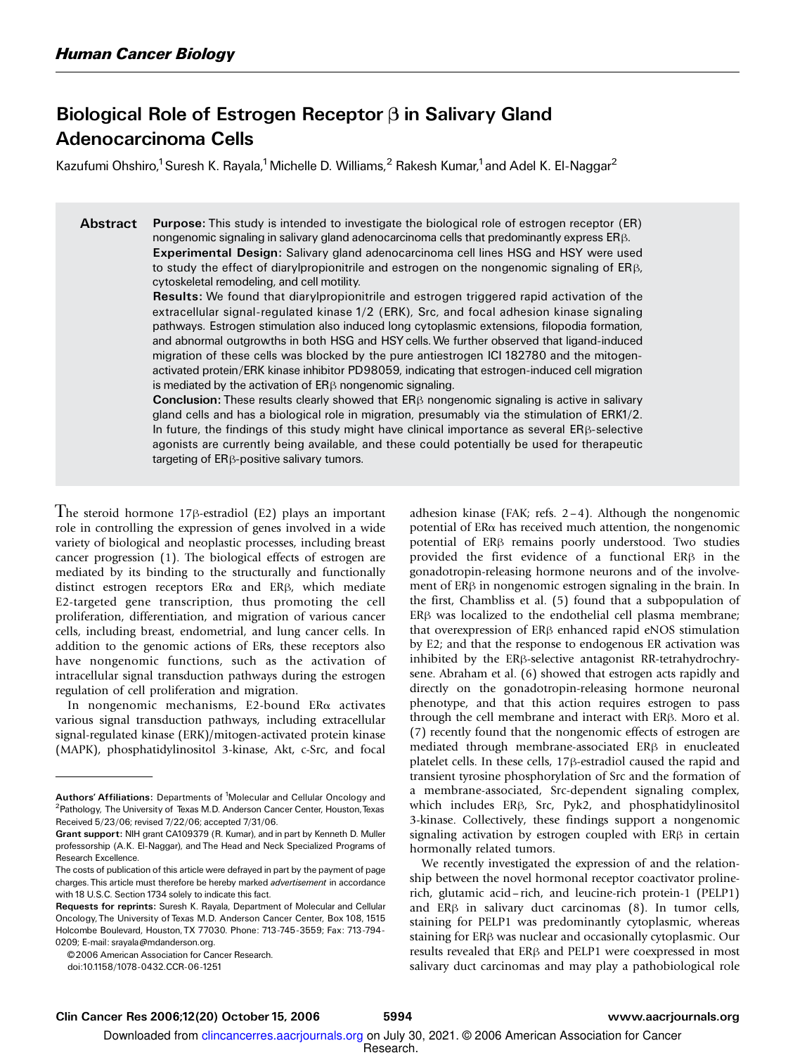### Biological Role of Estrogen Receptor  $\beta$  in Salivary Gland Adenocarcinoma Cells

Kazufumi Ohshiro,<sup>1</sup> Suresh K. Rayala,<sup>1</sup> Michelle D. Williams,<sup>2</sup> Rakesh Kumar,<sup>1</sup> and Adel K. El-Naggar<sup>2</sup>

Abstract Purpose: This study is intended to investigate the biological role of estrogen receptor (ER) nongenomic signaling in salivary gland adenocarcinoma cells that predominantly express ER $\beta$ . Experimental Design: Salivary gland adenocarcinoma cell lines HSG and HSY were used to study the effect of diarylpropionitrile and estrogen on the nongenomic signaling of  $ER\beta$ , cytoskeletal remodeling, and cell motility.

> Results: We found that diarylpropionitrile and estrogen triggered rapid activation of the extracellular signal-regulated kinase 1/2 (ERK), Src, and focal adhesion kinase signaling pathways. Estrogen stimulation also induced long cytoplasmic extensions, filopodia formation, and abnormal outgrowths in both HSG and HSY cells.We further observed that ligand-induced migration of these cells was blocked by the pure antiestrogen ICI 182780 and the mitogenactivated protein/ERK kinase inhibitor PD98059, indicating that estrogen-induced cell migration is mediated by the activation of  $ER\beta$  nongenomic signaling.

> **Conclusion:** These results clearly showed that  $ER\beta$  nongenomic signaling is active in salivary gland cells and has a biological role in migration, presumably via the stimulation of ERK1/2. In future, the findings of this study might have clinical importance as several  $ER\beta$ -selective agonists are currently being available, and these could potentially be used for therapeutic targeting of  $ER\beta$ -positive salivary tumors.

The steroid hormone  $17\beta$ -estradiol (E2) plays an important role in controlling the expression of genes involved in a wide variety of biological and neoplastic processes, including breast cancer progression (1). The biological effects of estrogen are mediated by its binding to the structurally and functionally distinct estrogen receptors  $ER\alpha$  and  $ER\beta$ , which mediate E2-targeted gene transcription, thus promoting the cell proliferation, differentiation, and migration of various cancer cells, including breast, endometrial, and lung cancer cells.In addition to the genomic actions of ERs, these receptors also have nongenomic functions, such as the activation of intracellular signal transduction pathways during the estrogen regulation of cell proliferation and migration.

In nongenomic mechanisms, E2-bound ERa activates various signal transduction pathways, including extracellular signal-regulated kinase (ERK)/mitogen-activated protein kinase (MAPK), phosphatidylinositol 3-kinase, Akt, c-Src, and focal

© 2006 American Association for Cancer Research.

doi:10.1158/1078-0432.CCR-06-1251

adhesion kinase (FAK; refs.  $2-4$ ). Although the nongenomic potential of  $ER\alpha$  has received much attention, the nongenomic potential of  $ER\beta$  remains poorly understood. Two studies provided the first evidence of a functional ER $\beta$  in the gonadotropin-releasing hormone neurons and of the involvement of  $ER\beta$  in nongenomic estrogen signaling in the brain. In the first, Chambliss et al.(5) found that a subpopulation of  $ER\beta$  was localized to the endothelial cell plasma membrane; that overexpression of  $ER\beta$  enhanced rapid eNOS stimulation by E2; and that the response to endogenous ER activation was inhibited by the  $ER\beta$ -selective antagonist RR-tetrahydrochrysene. Abraham et al. (6) showed that estrogen acts rapidly and directly on the gonadotropin-releasing hormone neuronal phenotype, and that this action requires estrogen to pass through the cell membrane and interact with  $ER\beta$ . Moro et al. (7) recently found that the nongenomic effects of estrogen are mediated through membrane-associated  $ER\beta$  in enucleated platelet cells. In these cells,  $17\beta$ -estradiol caused the rapid and transient tyrosine phosphorylation of Src and the formation of a membrane-associated, Src-dependent signaling complex, which includes ER<sub>B</sub>, Src, Pyk2, and phosphatidylinositol 3-kinase. Collectively, these findings support a nongenomic signaling activation by estrogen coupled with  $ER\beta$  in certain hormonally related tumors.

We recently investigated the expression of and the relationship between the novel hormonal receptor coactivator prolinerich, glutamic acid– rich, and leucine-rich protein-1 (PELP1) and  $ER\beta$  in salivary duct carcinomas (8). In tumor cells, staining for PELP1 was predominantly cytoplasmic, whereas staining for  $ER\beta$  was nuclear and occasionally cytoplasmic. Our results revealed that ER<sub>B</sub> and PELP1 were coexpressed in most salivary duct carcinomas and may play a pathobiological role

Authors'Affiliations: Departments of <sup>1</sup>Molecular and Cellular Oncology and <sup>2</sup>Pathology, The University of Texas M.D. Anderson Cancer Center, Houston,Texas Received 5/23/06; revised 7/22/06; accepted 7/31/06.

Grant support: NIH grant CA109379 (R. Kumar), and in part by Kenneth D. Muller professorship (A.K. El-Naggar), and The Head and Neck Specialized Programs of Research Excellence.

The costs of publication of this article were defrayed in part by the payment of page charges. This article must therefore be hereby marked advertisement in accordance with 18 U.S.C. Section 1734 solely to indicate this fact.

Requests for reprints: Suresh K. Rayala, Department of Molecular and Cellular Oncology, The University of Texas M.D. Anderson Cancer Center, Box 108, 1515 Holcombe Boulevard, Houston, TX 77030. Phone: 713-745-3559; Fax: 713-794- 0209; E-mail: srayala@mdanderson.org.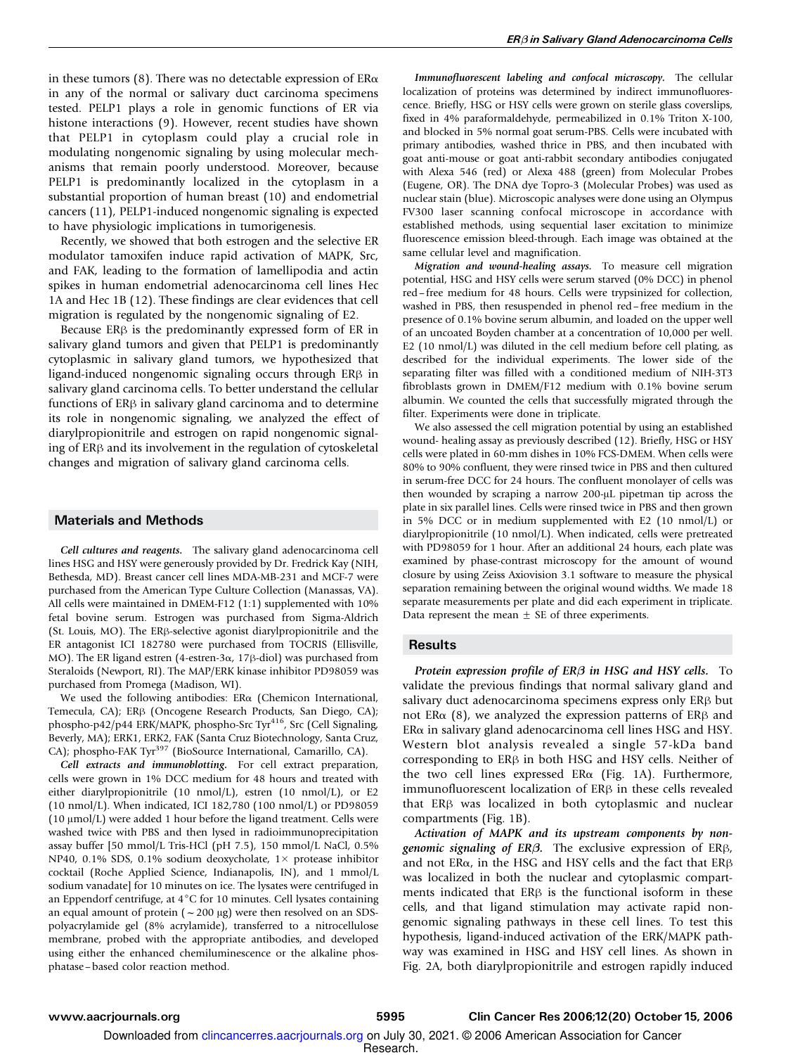in these tumors (8). There was no detectable expression of  $ER\alpha$ in any of the normal or salivary duct carcinoma specimens tested.PELP1 plays a role in genomic functions of ER via histone interactions (9). However, recent studies have shown that PELP1 in cytoplasm could play a crucial role in modulating nongenomic signaling by using molecular mechanisms that remain poorly understood. Moreover, because PELP1 is predominantly localized in the cytoplasm in a substantial proportion of human breast (10) and endometrial cancers (11), PELP1-induced nongenomic signaling is expected to have physiologic implications in tumorigenesis.

Recently, we showed that both estrogen and the selective ER modulator tamoxifen induce rapid activation of MAPK, Src, and FAK, leading to the formation of lamellipodia and actin spikes in human endometrial adenocarcinoma cell lines Hec 1A and Hec 1B (12). These findings are clear evidences that cell migration is regulated by the nongenomic signaling of E2.

Because  $ER\beta$  is the predominantly expressed form of ER in salivary gland tumors and given that PELP1 is predominantly cytoplasmic in salivary gland tumors, we hypothesized that ligand-induced nongenomic signaling occurs through  $ER\beta$  in salivary gland carcinoma cells. To better understand the cellular functions of  $ER\beta$  in salivary gland carcinoma and to determine its role in nongenomic signaling, we analyzed the effect of diarylpropionitrile and estrogen on rapid nongenomic signaling of  $ER\beta$  and its involvement in the regulation of cytoskeletal changes and migration of salivary gland carcinoma cells.

#### Materials and Methods

Cell cultures and reagents. The salivary gland adenocarcinoma cell lines HSG and HSY were generously provided by Dr. Fredrick Kay (NIH, Bethesda, MD). Breast cancer cell lines MDA-MB-231 and MCF-7 were purchased from the American Type Culture Collection (Manassas, VA). All cells were maintained in DMEM-F12 (1:1) supplemented with 10% fetal bovine serum. Estrogen was purchased from Sigma-Aldrich (St. Louis, MO). The ER $\beta$ -selective agonist diarylpropionitrile and the ER antagonist ICI 182780 were purchased from TOCRIS (Ellisville, MO). The ER ligand estren (4-estren-3 $\alpha$ , 17 $\beta$ -diol) was purchased from Steraloids (Newport, RI). The MAP/ERK kinase inhibitor PD98059 was purchased from Promega (Madison, WI).

We used the following antibodies: ERa (Chemicon International, Temecula, CA); ERB (Oncogene Research Products, San Diego, CA); phospho-p42/p44 ERK/MAPK, phospho-Src Tyr<sup>416</sup>, Src (Cell Signaling, Beverly, MA); ERK1, ERK2, FAK (Santa Cruz Biotechnology, Santa Cruz, CA); phospho-FAK Tyr<sup>397</sup> (BioSource International, Camarillo, CA).

Cell extracts and immunoblotting. For cell extract preparation, cells were grown in 1% DCC medium for 48 hours and treated with either diarylpropionitrile (10 nmol/L), estren (10 nmol/L), or E2 (10 nmol/L).When indicated, ICI 182,780 (100 nmol/L) or PD98059 ( $10 \mu \text{mol/L}$ ) were added 1 hour before the ligand treatment. Cells were washed twice with PBS and then lysed in radioimmunoprecipitation assay buffer [50 mmol/L Tris-HCl (pH 7.5), 150 mmol/L NaCl, 0.5% NP40, 0.1% SDS, 0.1% sodium deoxycholate,  $1 \times$  protease inhibitor cocktail (Roche Applied Science, Indianapolis, IN), and 1 mmol/L sodium vanadate] for 10 minutes on ice. The lysates were centrifuged in an Eppendorf centrifuge, at  $4^{\circ}$ C for 10 minutes. Cell lysates containing an equal amount of protein ( $\sim$  200  $\mu$ g) were then resolved on an SDSpolyacrylamide gel (8% acrylamide), transferred to a nitrocellulose membrane, probed with the appropriate antibodies, and developed using either the enhanced chemiluminescence or the alkaline phosphatase – based color reaction method.

Immunofluorescent labeling and confocal microscopy. The cellular localization of proteins was determined by indirect immunofluorescence.Briefly, HSG or HSY cells were grown on sterile glass coverslips, fixed in 4% paraformaldehyde, permeabilized in 0.1% Triton X-100, and blocked in 5% normal goat serum-PBS.Cells were incubated with primary antibodies, washed thrice in PBS, and then incubated with goat anti-mouse or goat anti-rabbit secondary antibodies conjugated with Alexa 546 (red) or Alexa 488 (green) from Molecular Probes (Eugene, OR). The DNA dye Topro-3 (Molecular Probes) was used as nuclear stain (blue). Microscopic analyses were done using an Olympus FV300 laser scanning confocal microscope in accordance with established methods, using sequential laser excitation to minimize fluorescence emission bleed-through. Each image was obtained at the same cellular level and magnification.

Migration and wound-healing assays. To measure cell migration potential, HSG and HSY cells were serum starved (0% DCC) in phenol red-free medium for 48 hours. Cells were trypsinized for collection, washed in PBS, then resuspended in phenol red – free medium in the presence of 0.1% bovine serum albumin, and loaded on the upper well of an uncoated Boyden chamber at a concentration of 10,000 per well. E2 (10 nmol/L) was diluted in the cell medium before cell plating, as described for the individual experiments.The lower side of the separating filter was filled with a conditioned medium of NIH-3T3 fibroblasts grown in DMEM/F12 medium with 0.1% bovine serum albumin. We counted the cells that successfully migrated through the filter. Experiments were done in triplicate.

We also assessed the cell migration potential by using an established wound- healing assay as previously described (12). Briefly, HSG or HSY cells were plated in 60-mm dishes in 10% FCS-DMEM.When cells were 80% to 90% confluent, they were rinsed twice in PBS and then cultured in serum-free DCC for 24 hours. The confluent monolayer of cells was then wounded by scraping a narrow 200-µL pipetman tip across the plate in six parallel lines. Cells were rinsed twice in PBS and then grown in 5% DCC or in medium supplemented with E2 (10 nmol/L) or diarylpropionitrile (10 nmol/L). When indicated, cells were pretreated with PD98059 for 1 hour. After an additional 24 hours, each plate was examined by phase-contrast microscopy for the amount of wound closure by using Zeiss Axiovision 3.1 software to measure the physical separation remaining between the original wound widths. We made 18 separate measurements per plate and did each experiment in triplicate. Data represent the mean  $\pm$  SE of three experiments.

#### **Results**

Protein expression profile of  $ER\beta$  in HSG and HSY cells. To validate the previous findings that normal salivary gland and salivary duct adenocarcinoma specimens express only  $ER\beta$  but not ER $\alpha$  (8), we analyzed the expression patterns of ER $\beta$  and  $ER\alpha$  in salivary gland adenocarcinoma cell lines HSG and HSY. Western blot analysis revealed a single 57-kDa band corresponding to  $ER\beta$  in both HSG and HSY cells. Neither of the two cell lines expressed ER $\alpha$  (Fig. 1A). Furthermore, immunofluorescent localization of  $ER\beta$  in these cells revealed that ER<sub>B</sub> was localized in both cytoplasmic and nuclear compartments (Fig.1B).

Activation of MAPK and its upstream components by nongenomic signaling of  $ER\beta$ . The exclusive expression of  $ER\beta$ , and not ER $\alpha$ , in the HSG and HSY cells and the fact that ER $\beta$ was localized in both the nuclear and cytoplasmic compartments indicated that  $ER\beta$  is the functional isoform in these cells, and that ligand stimulation may activate rapid nongenomic signaling pathways in these cell lines.To test this hypothesis, ligand-induced activation of the ERK/MAPK pathway was examined in HSG and HSY cell lines. As shown in Fig.2A, both diarylpropionitrile and estrogen rapidly induced

Research. Downloaded from clincancerres.aacrjournals.org on July 30, 2021. © 2006 American Association for Cancer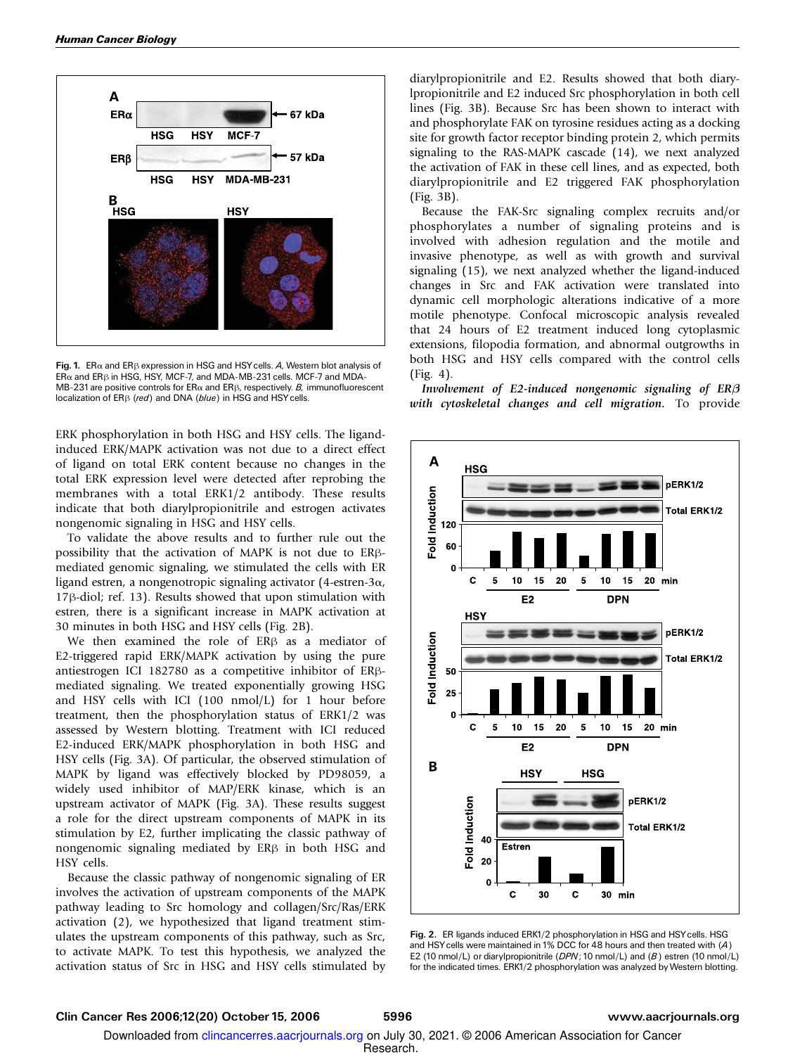

Fig. 1. ER $\alpha$  and ER $\beta$  expression in HSG and HSY cells. A, Western blot analysis of  $ER\alpha$  and  $ER\beta$  in HSG, HSY, MCF-7, and MDA-MB-231 cells. MCF-7 and MDA-MB-231 are positive controls for  $ER\alpha$  and  $ER\beta$ , respectively. B, immunofluorescent localization of  $ER\beta$  (red) and DNA (blue) in HSG and HSY cells.

ERK phosphorylation in both HSG and HSY cells.The ligandinduced ERK/MAPK activation was not due to a direct effect of ligand on total ERK content because no changes in the total ERK expression level were detected after reprobing the membranes with a total ERK1/2 antibody. These results indicate that both diarylpropionitrile and estrogen activates nongenomic signaling in HSG and HSY cells.

To validate the above results and to further rule out the possibility that the activation of MAPK is not due to ERßmediated genomic signaling, we stimulated the cells with ER ligand estren, a nongenotropic signaling activator (4-estren-3 $\alpha$ ,  $17\beta$ -diol; ref. 13). Results showed that upon stimulation with estren, there is a significant increase in MAPK activation at 30 minutes in both HSG and HSY cells (Fig.2B).

We then examined the role of ER<sub>B</sub> as a mediator of E2-triggered rapid ERK/MAPK activation by using the pure antiestrogen ICI 182780 as a competitive inhibitor of ERBmediated signaling.We treated exponentially growing HSG and HSY cells with ICI (100 nmol/L) for 1 hour before treatment, then the phosphorylation status of ERK1/2 was assessed by Western blotting. Treatment with ICI reduced E2-induced ERK/MAPK phosphorylation in both HSG and HSY cells (Fig. 3A). Of particular, the observed stimulation of MAPK by ligand was effectively blocked by PD98059, a widely used inhibitor of MAP/ERK kinase, which is an upstream activator of MAPK (Fig. 3A). These results suggest a role for the direct upstream components of MAPK in its stimulation by E2, further implicating the classic pathway of nongenomic signaling mediated by  $ER\beta$  in both HSG and HSY cells.

Because the classic pathway of nongenomic signaling of ER involves the activation of upstream components of the MAPK pathway leading to Src homology and collagen/Src/Ras/ERK activation (2), we hypothesized that ligand treatment stimulates the upstream components of this pathway, such as Src, to activate MAPK.To test this hypothesis, we analyzed the activation status of Src in HSG and HSY cells stimulated by

diarylpropionitrile and E2. Results showed that both diarylpropionitrile and E2 induced Src phosphorylation in both cell lines (Fig. 3B). Because Src has been shown to interact with and phosphorylate FAK on tyrosine residues acting as a docking site for growth factor receptor binding protein 2, which permits signaling to the RAS-MAPK cascade (14), we next analyzed the activation of FAK in these cell lines, and as expected, both diarylpropionitrile and E2 triggered FAK phosphorylation (Fig.3B).

Because the FAK-Src signaling complex recruits and/or phosphorylates a number of signaling proteins and is involved with adhesion regulation and the motile and invasive phenotype, as well as with growth and survival signaling (15), we next analyzed whether the ligand-induced changes in Src and FAK activation were translated into dynamic cell morphologic alterations indicative of a more motile phenotype. Confocal microscopic analysis revealed that 24 hours of E2 treatment induced long cytoplasmic extensions, filopodia formation, and abnormal outgrowths in both HSG and HSY cells compared with the control cells (Fig.4).

Involvement of E2-induced nongenomic signaling of  $ER\beta$ with cytoskeletal changes and cell migration. To provide



Fig. 2. ER ligands induced ERK1/2 phosphorylation in HSG and HSYcells. HSG and HSYcells were maintained in 1% DCC for 48 hours and then treated with (A) E2 (10 nmol/L) or diarylpropionitrile (DPN; 10 nmol/L) and (B) estren (10 nmol/L) for the indicated times. ERK1/2 phosphorylation was analyzed by Western blotting.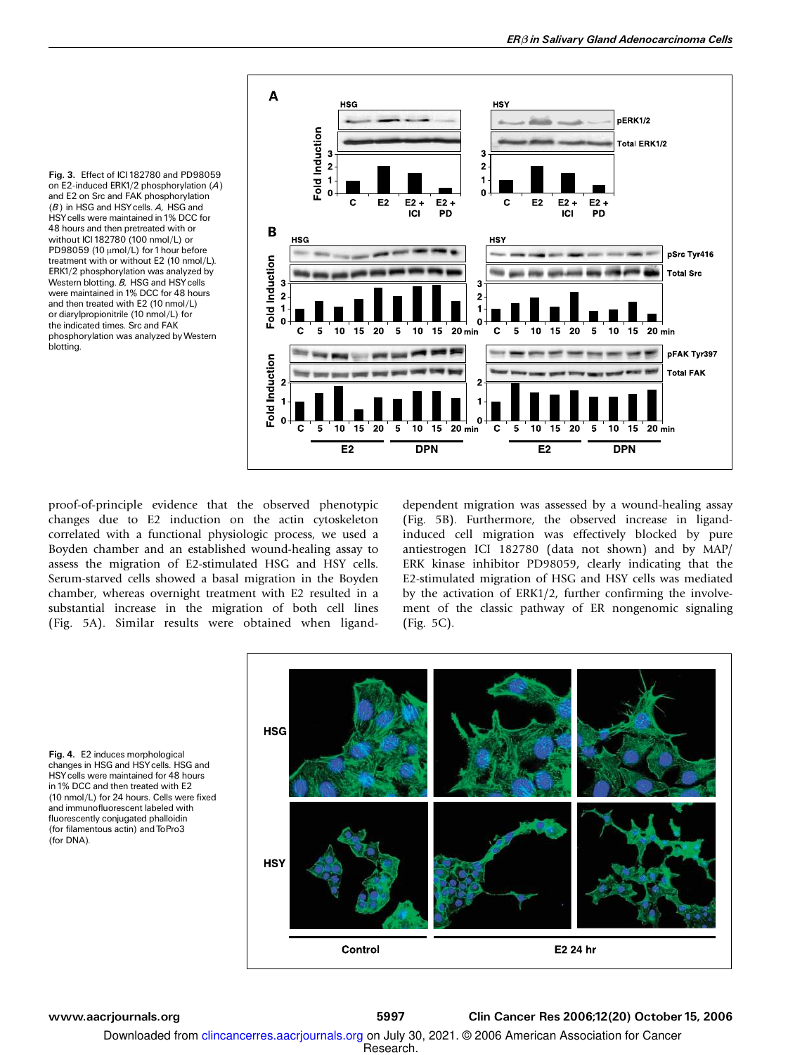



proof-of-principle evidence that the observed phenotypic changes due to E2 induction on the actin cytoskeleton correlated with a functional physiologic process, we used a Boyden chamber and an established wound-healing assay to assess the migration of E2-stimulated HSG and HSY cells. Serum-starved cells showed a basal migration in the Boyden chamber, whereas overnight treatment with E2 resulted in a substantial increase in the migration of both cell lines (Fig. 5A). Similar results were obtained when liganddependent migration was assessed by a wound-healing assay (Fig. 5B). Furthermore, the observed increase in ligandinduced cell migration was effectively blocked by pure antiestrogen ICI 182780 (data not shown) and by MAP/ ERK kinase inhibitor PD98059, clearly indicating that the E2-stimulated migration of HSG and HSY cells was mediated by the activation of ERK1/2, further confirming the involvement of the classic pathway of ER nongenomic signaling (Fig. 5C).



Fig. 4. E2 induces morphological changes in HSG and HSYcells. HSG and HSYcells were maintained for 48 hours in 1% DCC and then treated with E2 (10 nmol/L) for 24 hours. Cells were fixed and immunofluorescent labeled with fluorescently conjugated phalloidin (for filamentous actin) and ToPro3 (for DNA).

www.aacrjournals.org 5997 Clin Cancer Res 2006;12(20) October 15, 2006

Research. Downloaded from clincancerres.aacrjournals.org on July 30, 2021. © 2006 American Association for Cancer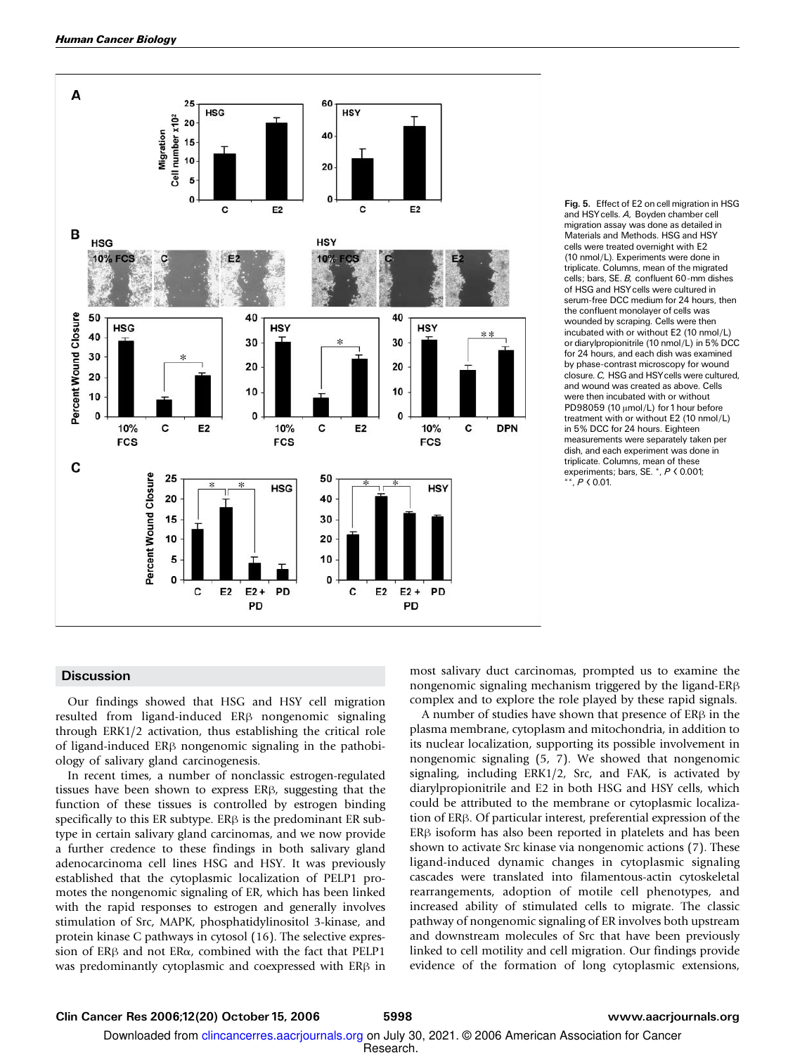

Fig. 5. Effect of E2 on cell migration in HSG and HSYcells. A, Boyden chamber cell migration assay was done as detailed in Materials and Methods. HSG and HSY cells were treated overnight with E2 (10 nmol/L). Experiments were done in triplicate. Columns, mean of the migrated cells; bars, SE. B, confluent 60-mm dishes of HSG and HSYcells were cultured in serum-free DCC medium for 24 hours, then the confluent monolayer of cells was wounded by scraping. Cells were then incubated with or without E2 (10 nmol/L) or diarylpropionitrile (10 nmol/L) in 5% DCC for 24 hours, and each dish was examined by phase-contrast microscopy for wound closure. C, HSG and HSYcells were cultured, and wound was created as above. Cells were then incubated with or without PD98059 (10  $\mu$ mol/L) for 1 hour before treatment with or without E2 (10 nmol/L) in 5% DCC for 24 hours. Eighteen measurements were separately taken per dish, and each experiment was done in triplicate. Columns, mean of these experiments; bars, SE. \*, <sup>P</sup> < 0.001;  $*$ ,  $P < 0.01$ .

#### **Discussion**

Our findings showed that HSG and HSY cell migration resulted from ligand-induced ER<sub>B</sub> nongenomic signaling through ERK1/2 activation, thus establishing the critical role of ligand-induced  $ER\beta$  nongenomic signaling in the pathobiology of salivary gland carcinogenesis.

In recent times, a number of nonclassic estrogen-regulated tissues have been shown to express  $ER\beta$ , suggesting that the function of these tissues is controlled by estrogen binding specifically to this ER subtype. ER $\beta$  is the predominant ER subtype in certain salivary gland carcinomas, and we now provide a further credence to these findings in both salivary gland adenocarcinoma cell lines HSG and HSY. It was previously established that the cytoplasmic localization of PELP1 promotes the nongenomic signaling of ER, which has been linked with the rapid responses to estrogen and generally involves stimulation of Src, MAPK, phosphatidylinositol 3-kinase, and protein kinase C pathways in cytosol (16). The selective expression of  $ER\beta$  and not  $ER\alpha$ , combined with the fact that PELP1 was predominantly cytoplasmic and coexpressed with  $ER\beta$  in most salivary duct carcinomas, prompted us to examine the nongenomic signaling mechanism triggered by the ligand- $ER\beta$ complex and to explore the role played by these rapid signals.

A number of studies have shown that presence of  $ER\beta$  in the plasma membrane, cytoplasm and mitochondria, in addition to its nuclear localization, supporting its possible involvement in nongenomic signaling (5, 7). We showed that nongenomic signaling, including ERK1/2, Src, and FAK, is activated by diarylpropionitrile and E2 in both HSG and HSY cells, which could be attributed to the membrane or cytoplasmic localization of ER<sub>B</sub>. Of particular interest, preferential expression of the  $ER\beta$  isoform has also been reported in platelets and has been shown to activate Src kinase via nongenomic actions (7). These ligand-induced dynamic changes in cytoplasmic signaling cascades were translated into filamentous-actin cytoskeletal rearrangements, adoption of motile cell phenotypes, and increased ability of stimulated cells to migrate. The classic pathway of nongenomic signaling of ER involves both upstream and downstream molecules of Src that have been previously linked to cell motility and cell migration. Our findings provide evidence of the formation of long cytoplasmic extensions,

Research. Downloaded from clincancerres.aacrjournals.org on July 30, 2021. © 2006 American Association for Cancer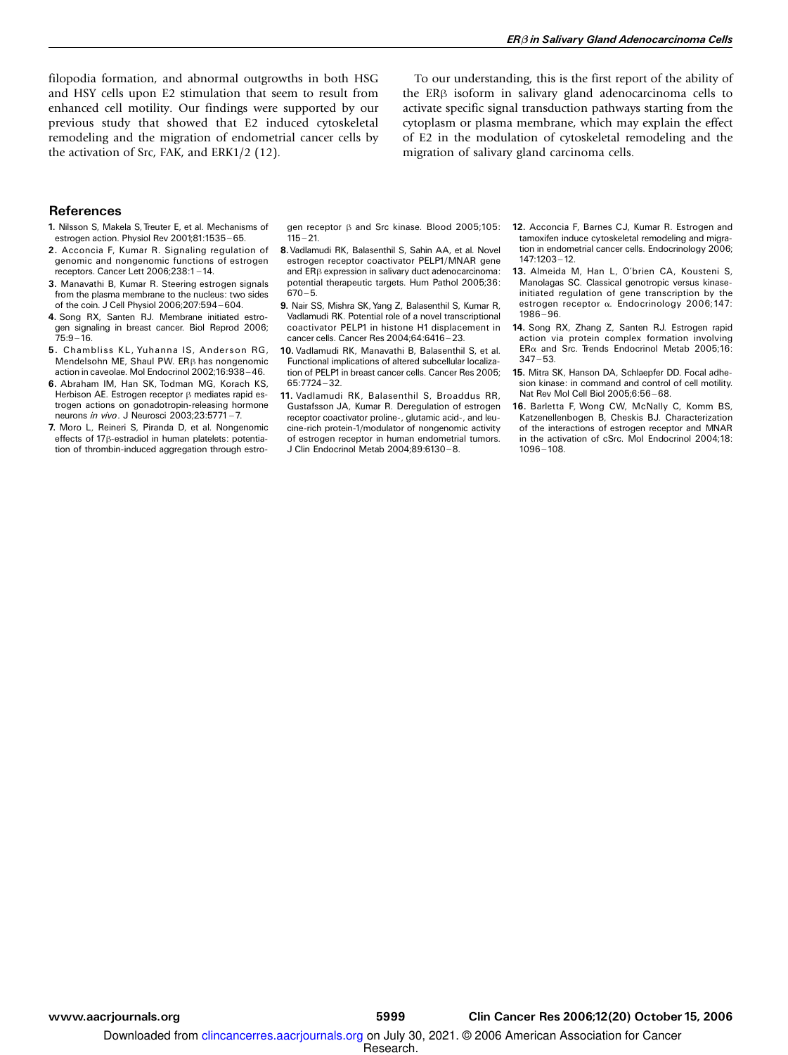filopodia formation, and abnormal outgrowths in both HSG and HSY cells upon E2 stimulation that seem to result from enhanced cell motility. Our findings were supported by our previous study that showed that E2 induced cytoskeletal remodeling and the migration of endometrial cancer cells by the activation of Src, FAK, and ERK1/2 (12).

To our understanding, this is the first report of the ability of the  $ER\beta$  isoform in salivary gland adenocarcinoma cells to activate specific signal transduction pathways starting from the cytoplasm or plasma membrane, which may explain the effect of E2 in the modulation of cytoskeletal remodeling and the migration of salivary gland carcinoma cells.

#### References

- 1. Nilsson S, Makela S, Treuter E, et al. Mechanisms of estrogen action. Physiol Rev 2001;81:1535-65.
- 2. Acconcia F, Kumar R. Signaling regulation of genomic and nongenomic functions of estrogen receptors. Cancer Lett 2006;238:1 ^ 14.
- 3. Manavathi B, Kumar R. Steering estrogen signals from the plasma membrane to the nucleus: two sides of the coin. J Cell Physiol 2006;207:594 ^ 604.
- 4. Song RX, Santen RJ. Membrane initiated estrogen signaling in breast cancer. Biol Reprod 2006;  $75:9 - 16.$
- 5. Chambliss KL, Yuhanna IS, Anderson RG, Mendelsohn ME, Shaul PW. ER $\beta$  has nongenomic action in caveolae. Mol Endocrinol 2002;16:938-46.
- 6. Abraham IM, Han SK, Todman MG, Korach KS, Herbison AE. Estrogen receptor  $\beta$  mediates rapid estrogen actions on gonadotropin-releasing hormone neurons *in vivo*. J Neurosci 2003:23:5771 - 7.
- 7. Moro L, Reineri S, Piranda D, et al. Nongenomic effects of 17 $\beta$ -estradiol in human platelets: potentiation of thrombin-induced aggregation through estro-

gen receptor  $\beta$  and Src kinase. Blood 2005;105:  $115 - 21.$ 

- 8. Vadlamudi RK, Balasenthil S, Sahin AA, et al. Novel estrogen receptor coactivator PELP1/MNAR gene and ER<sub>B</sub> expression in salivary duct adenocarcinoma: potential therapeutic targets. Hum Pathol 2005;36:  $670 - 5.$
- 9. Nair SS, Mishra SK, Yang Z, Balasenthil S, Kumar R, Vadlamudi RK. Potential role of a novel transcriptional coactivator PELP1 in histone H1 displacement in cancer cells. Cancer Res 2004:64:6416-23.
- 10. Vadlamudi RK, Manavathi B, Balasenthil S, et al. Functional implications of altered subcellular localization of PELP1 in breast cancer cells. Cancer Res 2005; 65:7724 - 32.
- 11. Vadlamudi RK, Balasenthil S, Broaddus RR, Gustafsson JA, Kumar R. Deregulation of estrogen receptor coactivator proline-, glutamic acid-, and leucine-rich protein-1/modulator of nongenomic activity of estrogen receptor in human endometrial tumors. J Clin Endocrinol Metab 2004;89:6130-8.
- 12. Acconcia F, Barnes CJ, Kumar R. Estrogen and tamoxifen induce cytoskeletal remodeling and migration in endometrial cancer cells. Endocrinology 2006; 147:1203 ^ 12.
- 13. Almeida M, Han L, O'brien CA, Kousteni S, Manolagas SC. Classical genotropic versus kinaseinitiated regulation of gene transcription by the estrogen receptor a. Endocrinology 2006;147:  $1986 - 96.$
- 14. Song RX, Zhang Z, Santen RJ. Estrogen rapid action via protein complex formation involving  $ER\alpha$  and Src. Trends Endocrinol Metab 2005;16:  $347 - 53.$
- 15. Mitra SK, Hanson DA, Schlaepfer DD. Focal adhesion kinase: in command and control of cell motility. Nat Rev Mol Cell Biol 2005;6:56 ^ 68.
- 16. Barletta F, Wong CW, McNally C, Komm BS, Katzenellenbogen B, Cheskis BJ. Characterization of the interactions of estrogen receptor and MNAR in the activation of cSrc. Mol Endocrinol 2004;18:  $1096 - 108.$